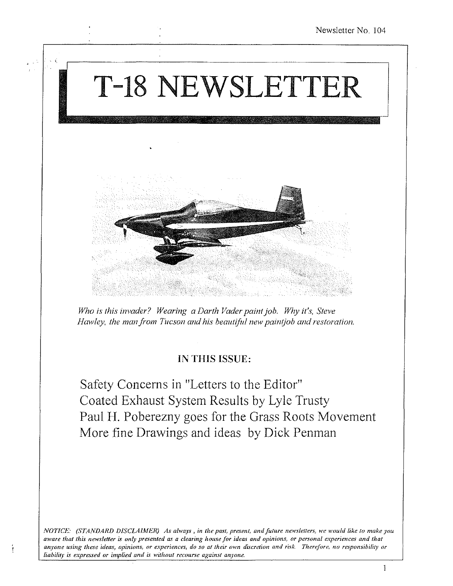

Safety Concerns in "Letters to the Editor" Coated Exhaust System Results by Lyle Trusty Paul H. Poberezny goes for the Grass Roots Movement More fine Drawings and ideas by Dick Penman

*N011CE: (STANDARD DISCLAIJfER) As always, in the past, present, and future newsletters, we would like to make you*  aware that this newsletter is only presented as a clearing house for ideas and opinions, or personal experiences and that anyone using these ideas, opinions, or experiences, do so at their own discretion and risk. Therefore, no responsibility or *liability is expressed or implied and is without recourse against anyone.*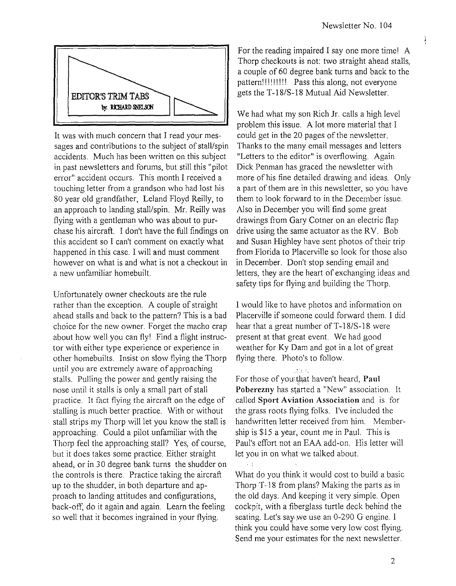į



It was with much concern that I read your messages and contributions to the subject of stall/spin accidents. Much has been written on this subject in past newsletters and forums, but still this "pilot error" accident occurs. This month I received a touching letter from a grandson who had lost his 80 year old grandfather, Leland Floyd Reilly, to an approach to landing stall/spin. Mr. Reilly was flying with a gentleman who was about to purchase his aircraft. I don't have the full findings on this accident so I can't comment on exactly what happened in this case. I will and must comment however on what is and what is not a checkout in a new unfamiliar homebuilt.

Unfortunately owner checkouts are the rule rather than the exception. A couple of straight ahead stalls and back to the pattern? This is a bad choice for the new owner. Forget the macho crap about how well you can flyl Find a flight instructor with either type experience or experience in other homebuilts. Insist on slow flying the Thorp until you are extremely aware of approaching stalls. Pulling the power and gently raising the nose until it stalls is only a small part of stall practice. It fact flying the aircraft on the edge of stalling is much better practice. With or without stall strips my Thorp will let you know the stall is approaching. Could a pilot unfamiliar with the Thorp feel the approaching stall? Yes, of course, but it does takes some practice. Either straight ahead, or in 30 degree bank turns the shudder on the controls is there. Practice taking the aircraft up to the shudder, in both departure and approach to landing attitudes and configurations, back-off, do it again and again. Learn the feeling so well that it becomes ingrained in your flying.

For the reading impaired I say one more time! A Thorp checkouts is not: two straight ahead stalls, a couple of 60 degree bank turns and back to the pattern!! I!!!!!! Pass this along, not everyone gets the T-18/S-18 Mutual Aid Newsletter.

We had what my son Rich Jr. calls a high level problem this issue. A lot more material that I could get in the 20 pages of the newsletter. Thanks to the many email messages and letters "Letters to the editor" is overflowing. Again Dick Penman has graced the newsletter with more of his fine detailed drawing and ideas. Only a part of them are in this newsletter, so you have them to look forward to in the December issue. Also in December you will find some great drawings from Gary Cotner on an electric flap drive using the same actuator as the RV. Bob and Susan Highley have sent photos of their trip from Florida to Placerville so look for those also in December. Don't stop sending email and letters, they are the heart of exchanging ideas and safety tips for flying and building the Thorp.

I would like to have photos and information on Placerville if someone could forward them. I did hear that a great number of T -18/S-18 were present at that great event. We had good weather for Ky Dam and got in a lot of great flying there. Photo's to follow.

For those of you that haven't heard, **Paul** Poberezny has started a "New" association. It called **Sport Aviation Association** and is for the grass roots flying folks. I've included the handwritten letter received from him. Membership is \$15 a year, count me in Paul. This is Paul's effort not an EAA add-on. His letter will let you in on what we talked about.

What do you think it would cost to build a basic Thorp T-18 from plans? Making the parts as in the old days. And keeping it very simple. Open cockpit, with a fiberglass turtle deck behind the seating. Let's say. we use an 0-290 G engine. I think you could~have some very low cost flying. Send me your estimates for the next newsletter.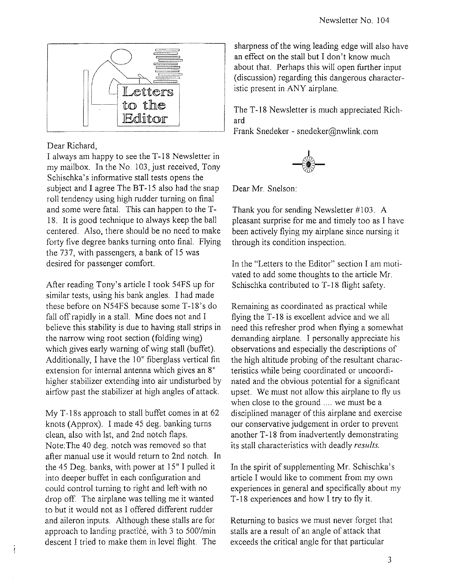

## Dear Richard,

I always am happy to see the T-18 Newsletter in my mailbox. In the No.1 03, just received, Tony Schischka's informative stall tests opens the subject and I agree The BT-15 also had the snap roll tendency using high rudder turning on final and some were fatal. This can happen to the T-18. It is good technique to always keep the ball centered. Also, there should be no need to make forty five degree banks turning onto final. Flying the 737, with passengers, a bank of 15 was desired for passenger comfort.

After reading Tony's article I took 54FS up for similar tests, using his bank angles. I had made these before on N54FS because some T-18's do fall off rapidly in a stall. Mine does not and I believe this stability is due to having stall strips in the narrow wing root section (folding wing) which gives early warning of wing stall (buffet). Additionally, I have the 10" fiberglass vertical fin extension for internal antenna which gives an 8" higher stabilizer extending into air undisturbed by airfow past the stabilizer at high angles of attack.

My T-18s approach to stall buffet comes in at 62 knots (Approx). I made 45 deg. banking turns clean, also with 1st, and 2nd notch flaps. Note:The 40 deg. notch was removed so that after manual use it would return to 2nd notch. In the 45 Deg. banks, with power at 15" I pulled it into deeper buffet in each configuration and could control turning to right and left with no drop off. The airplane was telling me it wanted to but it would not as I offered different rudder and aileron inputs. Although these stalls are for approach to landing practice, with 3 to 500'/min descent I tried to make them in level flight. The

Í

sharpness of the wing leading edge will also have an effect on the stall but I don't know much about that. Perhaps this will open further input (discussion) regarding this dangerous characteristic present in ANY airplane.

The T-18 Newsletter is much appreciated Richard

Frank Snedeker - snedeker@nwlink.com



Dear Mr. Snelson:

Thank you for sending Newsletter #103. A pleasant surprise for me and timely too as I have been actively flying my airplane since nursing it through its condition inspection.

In the "Letters to the Editor" section I am motivated to add some thoughts to the article Mr. Schischka contributed to T-18 flight safety.

Remaining as coordinated as practical while flying the T-18 is excellent advice and we all need this refresher prod when flying a somewhat demanding airplane. I personally appreciate his observations and especially the descriptions of the high altitude probing of the resultant characteristics while being coordinated or uncoordinated and the obvious potential for a significant upset. We must not allow this airplane to fly us when close to the ground .... we must be a disciplined manager of this airplane and exercise our conservative judgement in order to prevent another T-18 from inadvertently demonstrating its stall characteristics with deadly *results.* 

In the spirit of supplementing Mr. Schischka's article I would like to comment from my own experiences in general and specifically about my T-18 experiences and how I try to fly it.

Returning to basics we must never forget that stalls are a result of an angle of attack that exceeds the critical angle for that particular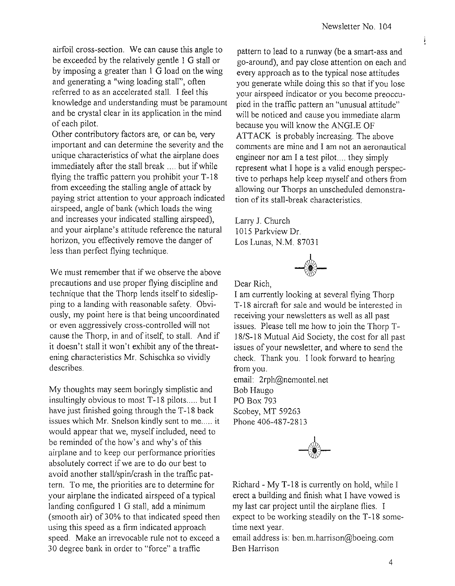ļ

airfoil cross-section. We can cause this angle to be exceeded by the relatively gentle 1 G stall or by imposing a greater than 1 G load on the wing and generating a "wing loading stall", often referred to as an accelerated stall. I feel this knowledge and understanding must be paramount and be crystal clear in its application in the mind of each pilot.

Other contributory factors are, or can be, very important and can determine the severity and the unique characteristics of what the airplane does immediately after the stall break .... but if while flying the traffic pattern you prohibit your  $T-18$ from exceeding the stalling angle of attack by paying strict attention to your approach indicated airspeed, angle of bank (which loads the wing and increases your indicated stalling airspeed), and your airplane's attitude reference the natural horizon, you effectively remove the danger of less than perfect flying technique.

We must remember that if we observe the above precautions and use proper flying discipline and technique that the Thorp lends itself to sideslipping to a landing with reasonable safety. Obviously, my point here is that being uncoordinated or even aggressively cross-controlled will not cause the Thorp, in and of itself, to stall. And if it doesn't stall it won't exhibit any of the threatening characteristics Mr. Schischka so vividly describes.

My thoughts may seem boringly simplistic and insultingly obvious to most T-18 pilots..... but I have just finished going through the T-18 back issues which Mr. Snelson kindly sent to me..... it would appear that we, myself included, need to be reminded of the how's and why's of this airplane and to keep our performance priorities absolutely correct if we are to do our best to avoid another stall/spin/crash in the traffic pattern. To me, the priorities are to determine for your airplane the indicated airspeed of a typical landing configured I G stall, add a minimum (smooth air) of 30% to that indicated speed then using this speed as a firm indicated approach speed. Make an irrevocable rule not to exceed a 30 degree bank in order to "force" a traffic

pattern to lead to a runway (be a smart -ass and go-around), and pay close attention on each and every approach as to the typical nose attitudes you generate while doing this so that if you lose your airspeed indicator or you become preoccupied in the traffic pattern an "unusual attitude" will be noticed and cause you immediate alarm because you will know the ANGLE OF ATTACK is probably increasing. The above comments are mine and I am not an aeronautical engineer nor am I a test pilot.... they simply represent what I hope is a valid enough perspective to perhaps help keep myself and others from allowing our Thorps an unscheduled demonstration of its stall-break characteristics.

Larry J. Church 1015 Parkview Dr. Los Lunas, N.M. S7031



Dear Rich,

I am currently looking at several flying Thorp T-18 aircraft for sale and would be interested in receiving your newsletters as well as all past issues. Please tell me how to join the Thorp T-IS/S-IS Mutual Aid Society, the cost for all past issues of your newsletter, and where to send the check. Thank you. I look forward to hearing from you.

email: 2rph@nemontel.net Bob Haugo PO Box 793 Scobey, MT 59263 Phone 406-487-2813



Richard - My T-18 is currently on hold, while I erect a building and finish what I have vowed is my last car project until the airplane flies. I expect to be working steadily on the T -IS sometime next year.

email address is: ben.m.harrison@boeing.com Ben Harrison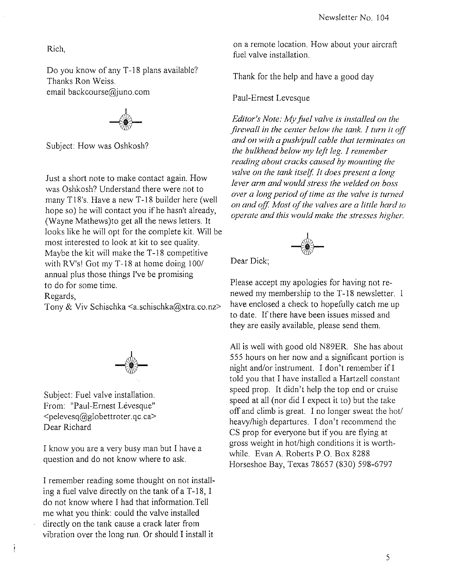Rich,

Do you know of any T-18 plans available? Thanks Ron Weiss. email backcourse@juno.com

Subject: How was Oshkosh?

Just a short note to make contact again. How was Oshkosh? Understand there were not to many TIS's. Have a new T-IS builder here (well hope so) he will contact you if he hasn't already, (Wayne Mathews)to get all the news letters. It looks like he will opt for the complete kit Will be most interested to look at kit to see quality. Maybe the kit will make the T-18 competitive with RV's! Got my T-18 at home doing 100/ annual plus those things I've be promising to do for some time.

Regards,

 $\mathbf{I}$ 

Tony & Viv Schischka <a.schischka@xtra.co.nz>

Subject: Fuel valve installation. From: "Paul-Ernest Lévesque" <pelevesq@globettroter.qc.ca> Dear Richard

I know you are a very busy man but I have a question and do not know where to ask.

I remember reading some thought on not installing a fuel valve directly on the tank of a  $T-18$ , I do not know where I had that information. Tell me what you think: could the valve installed directly on the tank cause a crack later from vibration over the long run. Or should I install it

on a remote location. How about your aircraft fuel valve installation.

Thank for the help and have a good day

Paul-Ernest Levesque

*Editor's Note: My filel valve is installed on the firewall in the center below the tank. I turn it off and on with a push/pull cable that terminates on the bulkhead below my left leg.* J *remember reading about cracks caused by mounting the valve on the tank itself. It does present a long lever arm and would stress the welded on boss over a long period of time as the valve* is *turned*  on and off. Most of the valves are a little hard to *operate and this would make the stresses higher.* 



Dear Dick;

Please accept my apologies for having not renewed my membership to the T-18 newsletter. I have enclosed a check to hopefully catch me up to date. If there have been issues missed and they are easily available, please send them.

All is well with good old N89ER. She has about 555 hours on her now and a significant portion is night and/or instrument. I don't remember if  $I$ told you that I have installed a Hartzell constant speed prop. It didn't help the top end or cruise speed at all (nor did I expect it to) but the take off and climb is great. I no longer sweat the hot/ heavylhigh departures. I don't recommend the CS prop for everyone but if you are flying at gross weight in *hotlhigh* conditions it is worthwhile. Evan A. Roberts P.O. Box 8288 Horseshoe Bay, Texas 7S657 (830) 598-6797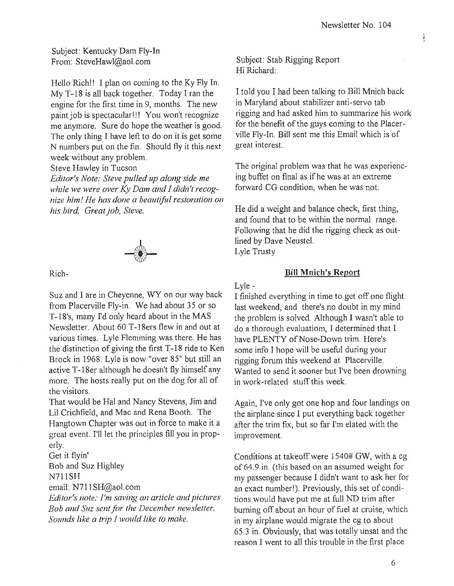Ĵ

Subject: Kentucky Dam Fly-In From: SteveHawl@aol.com

Hello Richl! I plan on coming to the Ky Fly In. My T-18 is all back together. Today I ran the engine for the first time in 9, months. The new paint job is spectacular!!! You won't recognize me anymore. Sure do hope the weather is good. The only thing I have left to do on it is get some N numbers put on the fin. Should fly it this next week without any problem.

Steve Hawley in Tucson

*Editor's Note: Steve pulled up along side me while we were over Ky Dam and I didn't recognize him! He has done a beautiful restoration on his bird. Great job, Steve.* 



Rich-

Suz and I are in Cheyenne, WY on our way back from Placerville Fly-in. We had about 35 or so T-18's, many I'd only heard about in the MAS Newsletter. About 60 T-18ers flew in and out at various times. Lyle Flemming was there. He has the distinction of giving the first T -18 ride to Ken Brock in 1968. Lyle is now "over 85" but still an active T-18er although he doesn't fly himself any more. The hosts really put on the dog for all of the visitors.

That would be Hal and Nancy Stevens, Jim and Lil Crichfield, and Mac and Rena Booth. The Hangtown Chapter was out in force to make it a great event. I'll let the principles fill you in properly.

Get it flyin' Bob and Suz Highley N711SH

email: N711SH@aol.com

*Editor's note: I'm saving an article and pictures Bob and Suz sent for the December newsletter. Sounds like a trip* J *would like to make.* 

Subject: Stab Rigging Report Hi Richard:

I told you I had been talking to Bill Mnich back in Maryland about stabilizer anti-servo tab rigging and had asked him to summarize his work for the benefit of the guys coming to the Placerville Fly-In. Bill sent me this Email which is of great interest.

The original problem was that he was experiencing buffet on final as if he was at an extreme forward CG condition, when he was not.

He did a weight and balance check, first thing, and found that to be within the normal range. Following that he did the rigging check as outlined by Dave Neustel. Lyle Trusty

#### **Bill** Mnich's Report

Lyle -

I finished everything in time to get off one flight last weekend, and there's no doubt in my mind the problem is solved. Although I wasn't able to do a thorough evaluatiom, I determined that I have PLENTY of Nose-Down trim. Here's some info I hope will be useful during your rigging forum this weekend at Placerville. Wanted to send it sooner but I've been drowning in work-related stuff this week.

Again, I've only got one hop and four landings on the airplane since I put everything back together after the trim fix, but so far I'm elated with the improvement.

Conditions at takeoff were 1540# GW, with a cg of64.9 in. (this based on an assumed weight for my passenger because I didn't want to ask her for an exact number!). Previously, this set of conditions would have put me at full ND trim after burning off about an hour of fuel at cruise, which in my airplane would migrate the cg to about 65.3 in. Obviously, that was totally unsat and the reason I went to all this trouble in the first place.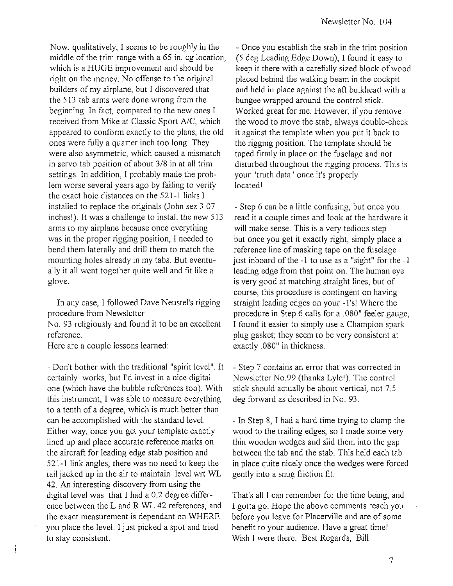Now, qualitatively, I seems to be roughly in the middle of the trim range with a 65 in. cg location, which is a HUGE improvement and should be right on the money. No offense to the original builders of my airplane, but I discovered that the 513 tab arms were done wrong from the beginning. In fact, compared to the new ones I received from Mike at Classic Sport *AlC,* which appeared to conform exactly to the plans, the old ones were fully a quarter inch too long. They were also asymmetric, which caused a mismatch in servo tab position of about 3/8 in at all trim settings. In addition, I probably made the problem worse several years ago by failing to verify the exact hole distances on the 521-1 links I installed to replace the originals (John sez 3.07 inches!). It was a challenge to install the new 513 arms to my airplane because once everything was in the proper rigging position, I needed to bend them laterally and drill them to match the mounting holes already in my tabs. But eventually it all went together quite well and fit like a glove.

In any case, I followed Dave Neustel's rigging procedure from Newsletter

No. 93 religiously and found it to be an excellent reference.

Here are a couple lessons learned:

í

- Don't bother with the traditional "spirit level". It certainly works, but I'd invest in a nice digital one (which have the bubble references too). With this instrument, I was able to measure everything to a tenth of a degree, which is much better than can be accomplished with the standard level. Either way, once you get your template exactly lined up and place accurate reference marks on the aircraft for leading edge stab position and 521-1 link angles, there was no need to keep the tail jacked up in the air to maintain level wrt WL 42. An interesting discovery from using the digital level was that I had a 0.2 degree difference between the Land R WL 42 references, and the exact measurement is dependant on WHERE you place the level. I just picked a spot and tried to stay consistent.

- Once you establish the stab in the trim position (5 deg Leading Edge Down), I found it easy to keep it there with a carefully sized block of wood placed behind the walking beam in the cockpit and held in place against the aft bulkhead with a bungee wrapped around the control stick. Worked great for me. However, if you remove the wood to move the stab, always double-check it against the template when you put it back to the rigging position. The template should be taped firmly in place on the fuselage and not disturbed throughout the rigging process. This is your "truth data" once it's properly located!

- Step 6 can be a little confusing, but once you read it a couple times and look at the hardware it will make sense. This is a very tedious step but once you get it exactly right, simply place a reference line of masking tape on the fuselage just inboard of the -1 to use as a "sight" for the -I leading edge from that point on. The human eye is very good at matching straight lines, but of course, this procedure is contingent on having straight leading edges on your -1 's! Where the procedure in Step 6 calls for a .080" feeler gauge, I found it easier to simply use a Champion spark plug gasket; they seem to be very consistent at exactly.080" in thickness.

- Step 7 contains an error that was corrected in Newsletter NO.99 (thanks Lyle!). The control stick should actually be about vertical, not 7.5 deg forward as described in No. 93.

- In Step 8, I had a hard time trying to clamp the wood to the trailing edges, so I made some very thin wooden wedges and slid them into the gap between the tab and the stab. This held each tab in place quite nicely once the wedges were forced gently into a snug friction fit.

That's all I can remember for the time being, and I gotta go. Hope the above comments reach you before you leave for Placerville and are of some benefit to your audience. Have a great time! Wish I were there. Best Regards, Bill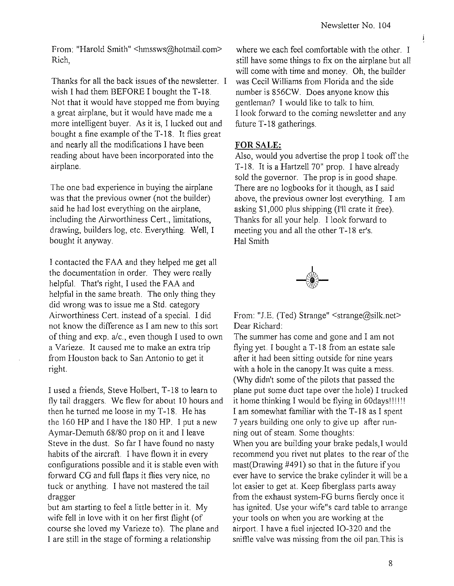ļ

From: "Harold Smith" <hmssws@hotmail.com> Rich,

Thanks for all the back issues of the newsletter. I wish I had them BEFORE I bought the T-18. Not that it would have stopped me from buying a great airplane, but it would have made me a more intelligent buyer. As it is, I lucked out and bought a fine example of the T -18. It flies great and nearly all the modifications I have been reading about have been incorporated into the airplane.

The one bad experience in buying the airplane was that the previous owner (not the builder) said he had lost everything on the airplane, including the Airworthiness Cert., limitations, drawing, builders log, etc. Everything. Well, I bought it anyway.

1 contacted the FAA and they helped me get all the documentation in order. They were really helpful. That's right, I used the FAA and helpful in the same breath. The only thing they did wrong was to issue me a Std. category Airworthiness Cert. instead of a special. I did not know the difference as I am new to this sort of thing and  $exp. a/c.$ , even though I used to own a Varieze. It caused me to make an extra trip from Houston back to San Antonio to get it right.

I used a friends, Steve Holbert, T -18 to learn to fly tail draggers. We flew for about 10 hours and then he turned me loose in my T -18. He has the 160 HP and 1 have the 180 HP. 1 put a new Aymar-Demuth 68/80 prop on it and I leave Steve in the dust. So far I have found no nasty habits of the aircraft. 1 have flown it in every configurations possible and it is stable even with forward CG and full flaps it flies very nice, no tuck or anything. I have not mastered the tail dragger

but am starting to feel a little better in it. My wife fell in love with it on her first flight (of course she loved my Varieze to). The plane and I are still in the stage of forming a relationship

where we each feel comfortable with the other. I still have some things to fix on the airplane but all will come with time and money. Oh, the builder was Cecil Williams from Florida and the side number is 856CW. Does anyone know this gentleman? 1 would like to talk to him. 1 look forward to the coming newsletter and any future T-18 gatherings.

## **FOR SALE:**

Also, would you advertise the prop I took off the T-18. It is a Hartzell 70" prop. I have already sold the governor. The prop is in good shape. There are no logbooks for it though, as 1 said above, the previous owner lost everything. I am asking \$1,000 plus shipping (I'll crate it free). Thanks for all your help. I look forward to meeting you and all the other T-18 er's. Hal Smith



From: "J.E. (Ted) Strange" <strange@silk.net> Dear Richard:

The summer has come and gone and I am not flying yet. I bought a T-18 from an estate sale after it had been sitting outside for nine years with a hole in the canopy. It was quite a mess. (Why didn't some of the pilots that passed the plane put some duct tape over the hole) I trucked it home thinking I would be flying in 60days!!!!!! I am somewhat familiar with the T -18 as I spent 7 years building one only to give up after running out of steam. Some thoughts: When you are building your brake pedals, I would recommend you rivet nut plates to the rear of the mast(Drawing #491) so that in the future if you

ever have to service the brake cylinder it will be a lot easier to get at. Keep fiberglass parts away from the exhaust system-FG burns fiercly once it has ignited. Use your wife"s card table to arrange your tools on when you are working at the airport. I have a fuel injected IO-320 and the sniffle valve was missing from the oil pan. This is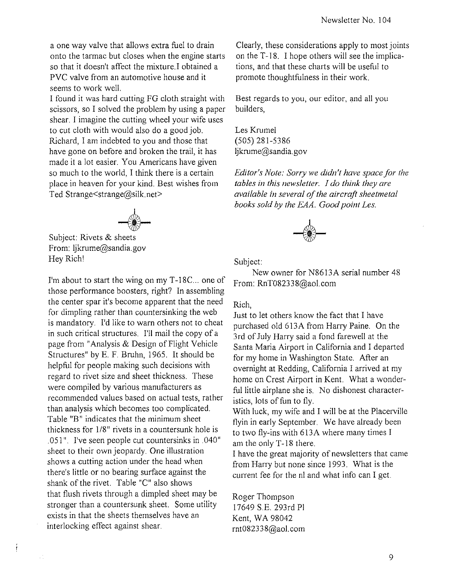a one way valve that allows extra fuel to drain onto the tarmac but closes when the engine starts so that it doesn't affect the mixture. I obtained a PVC valve from an automotive house and it seems to work welL

I found it was hard cutting FG cloth straight with scissors, so I solved the problem by using a paper shear. I imagine the cutting wheel your wife uses to cut cloth with would also do a good job. Richard, I am indebted to you and those that have gone on before and broken the trail, it has made it a lot easier. You Americans have given so much to the world, I think there is a certain place in heaven for your kind. Best wishes from Ted Strange<strange@silk.net>

I *-fir* 

Subject: Rivets & sheets From: Ijkrume@sandia.gov Hey Richl

Í

I'm about to start the wing on my T-18C... one of those performance boosters, right? In assembling the center spar it's become apparent that the need for dimpling rather than countersinking the web is mandatory. I'd like to warn others not to cheat in such critical structures. I'll mail the copy of a page from" Analysis & Design of Flight Vehicle Structures" by E. F. Bruhn, 1965. It should be helpful for people making such decisions with regard to rivet size and sheet thickness. These were compiled by various manufacturers as recommended values based on actual tests, rather than analysis which becomes too complicated. Table "B" indicates that the minimum sheet thickness for *1/8"* rivets in a countersunk hole is .051 ". I've seen people cut countersinks in .040" sheet to their own jeopardy. One illustration shows a cutting action under the head when there's little or no bearing surface against the shank of the rivet. Table "C" also shows that flush rivets through a dimpled sheet may be stronger than a countersunk sheet. Some utility exists in that the sheets themselves have an interlocking effect against shear.

Clearly, these considerations apply to most joints on the T-18. I hope others will see the implications, and that these charts will be useful to promote thoughtfulness in their work.

Best regards to you, our editor, and all you builders,

Les Krumel (505) 281-5386 Ijkrume@sandia.gov

*Editor's Note: Sorry we didn't have space for the tables in this newsletter.* J *do think they arc available in several of the aircraft sheetmctal books sold by the EAA. Good point Les.* 



Subject:

New owner for N8613A serial number 48 From: RnT082338@aoLcom

#### Rich,

Just to let others know the fact that I have purchased old 613A from Harry Paine. On the 3rd of July Harry said a fond farewell at the Santa Maria Airport in California and I departed for my home in Washington State. After an overnight at Redding, California I arrived at my home on Crest Airport in Kent. What a wonderful little airplane she is. No dishonest characteristics, lots of fun to fly.

With luck, my wife and I will be at the Placerville flyin in early September. We have already been to two fly-ins with 613A where many times I am the only T-18 there.

I have the great majority of newsletters that came from Harry but none since 1993. What is the current fee for the nl and what info can I get.

Roger Thompson 17649 S.E. 293rd PI Kent, WA 98042 rnt082338@aoLcom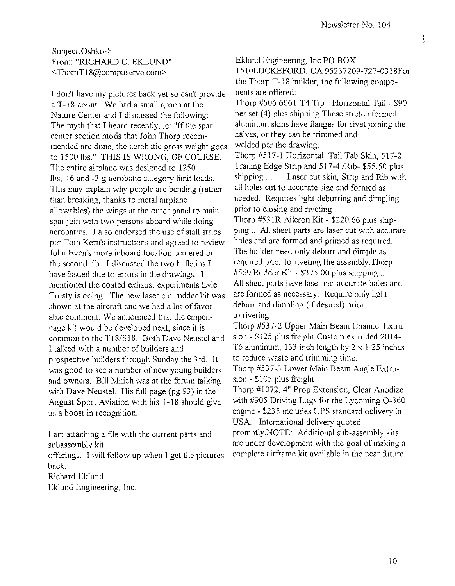į

Subject:Oshkosh From: "RICHARD C. EKLUND" <ThorpTI8@compuserve.com>

I don't have my pictures back yet so can't provide aT -18 count. We had a small group at the Nature Center and I discussed the following: The myth that I heard recently, ie: "If the spar center section mods that John Thorp recommended are done, the aerobatic gross weight goes to 1500 lbs." THIS IS WRONG, OF COURSE. The entire airplane was designed to 1250 lbs, +6 and -3 g aerobatic category limit loads. This may explain why people are bending (rather than breaking, thanks to metal airplane allowables) the wings at the outer panel to main spar join with two persons aboard while doing aerobatics. I also endorsed the use of stall strips per Tom Kern's instructions and agreed to review John Even's more inboard location centered on the second rib. I discussed the two bulletins I have issued due to errors in the drawings. I mentioned the coated exhaust experiments Lyle Trusty is doing. The new laser cut rudder kit was shown at the aircraft and we had a lot of favorable comment. We announced that the empennage kit would be developed next, since it is common to the T *18/S* 18. Both Dave Neustel and 1 talked with a number of builders and prospective builders through Sunday the 3rd. It was good to see a number of new young builders and owners. Bill Mnich was at the forum talking with Dave Neustel. His full page (pg 93) in the August Sport Aviation with his T-18 should give us a boost in recognition.

I am attaching a file with the current parts and subassembly kit

offerings. I will follow up when I get the pictures back.

Richard Eklund

Eklund Engineering, Inc.

Eklund Engineering, Inc.PO BOX 1510LOCKEFORD, CA 95237209-727-0318For

the Thorp T-18 builder, the following components are offered:

Thorp #506 6061-T4 Tip - Horizontal Tail- \$90 per set (4) plus shipping These stretch formed aluminum skins have flanges for rivet joining the halves, or they can be trimmed and welded per the drawing.

Thorp #517-1 Horizontal. Tail Tab Skin, 517-2 Trailing Edge Strip and *517-4/Rib-* \$55.50 plus shipping ... Laser cut skin, Strip and Rib with all holes cut to accurate size and formed as needed. Requires light deburring and dimpling prior to closing and riveting.

Thorp #531R Aileron Kit - \$220.66 plus shipping.. All sheet parts are laser cut with accurate holes and are formed and primed as required. The builder need only deburr and dimple as required prior to riveting the assembly. Thorp  $#569$  Rudder Kit - \$375.00 plus shipping... All sheet parts have laser cut accurate holes and are formed as necessary. Require only light deburr and dimpling (if desired) prior to riveting.

Thorp #537-2 Upper Main Beam Channel Extrusion - \$125 plus freight Custom extruded 2014- T6 aluminum, 133 inch length by  $2 \times 1.25$  inches to reduce waste and trimming time.

Thorp #537-3 Lower Main Beam Angle Extrusion - \$105 plus freight

Thorp #1072,4" Prop Extension, Clear Anodize with #905 Driving Lugs for the Lycoming 0-360 engine - \$235 includes UPS standard delivery in USA. International delivery quoted

promptly.NOTE: Additional sub-assembly kits are under development with the goal of making a complete airframe kit available in the near future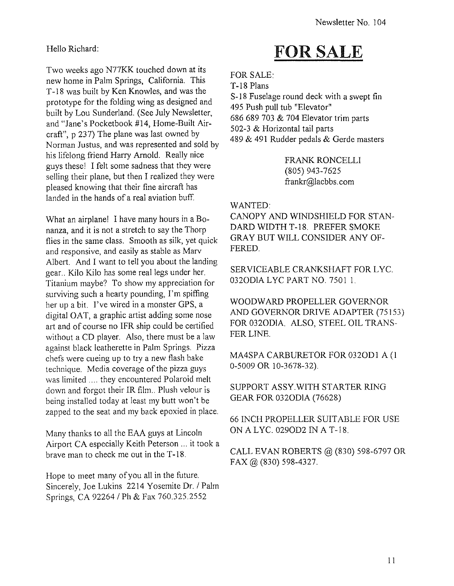## Hello Richard:

Two weeks ago N77KK touched down at its new home in Palm Springs, California. This T -18 was built by Ken Knowles, and was the prototype for the folding wing as designed and built by Lou Sunderland. (See July Newsletter, and "Jane's Pocketbook #14, Home-Built Aircraft", p 237) The plane was last owned by Norman Justus, and was represented and sold by his lifelong friend Harry Arnold. Really nice guys these! I felt some sadness that they were selling their plane, but then I realized they were pleased knowing that their fine aircraft has landed in the hands of a real aviation buff.

What an airplane! I have many hours in a Bonanza, and it is not a stretch to say the Thorp flies in the same class. Smooth as silk, yet quick and responsive, and easily as stable as Marv Albert. And I want to tell you about the landing gear .. Kilo Kilo has some real legs under her. Titanium maybe? To show my appreciation for surviving such a hearty pounding, I'm spiffing her up a bit. I've wired in a monster GPS, a digital OAT, a graphic artist adding some nose art and of course no IFR ship could be certified without a CD player. Also, there must be a law against black leatherette in Palm Springs. Pizza chefs were cueing up to try a new flash bake technique. Media coverage of the pizza guys was limited .... they encountered Polaroid melt down and forgot their IR film.. Plush velour is being installed today at least my butt won't be zapped to the seat and my back epoxied in place.

Many thanks to all the EAA guys at Lincoln Airport CA especially Keith Peterson ... it took a brave man to check me out in the T -18.

Hope to meet many of you all in the future. Sincerely, Joe Lukins 2214 Yosemite Dr. *1* Palm Springs, CA 92264 / Ph & Fax 760.325.2552

# FOR SALE

FOR SALE: T-18 Plans

S-18 Fuselage round deck with a swept fin 495 Push pull tub "Elevator" 686 689 703 & 704 Elevator trim parts 502-3 & Horizontal tail parts 489 & 491 Rudder pedals & Gerde masters

> FRANK RONCELLI (805) 943-7625 frankr@lacbbs.com

## WANTED:

CANOPY AND WINDSHIELD FOR STAN-DARD WIDTH T-18. PREFER SMOKE GRAY BUT WILL CONSIDER ANY OF-FERED.

SERVICEABLE CRANKSHAFT FOR LYC. 0320DlALYCPARTNO. 75011.

WOODWARD PROPELLER GOVERNOR AND GOVERNOR DRIVE ADAPTER (75153) FOR 0320DlA. ALSO, STEEL OIL TRANS-FER LINE.

MA4SPA CARBURETOR FOR 0320DI A (1 0-5009 OR 10-3678-32).

SUPPORT ASSY. WITH STARTER RING GEAR FOR 0320DlA (76628)

66 INCH PROPELLER SUITABLE FOR USE ON ALYC. 0290D2 IN A T-18.

CALL EVAN ROBERTS @ (830) 598-6797 OR FAX @ (830) 598-4327.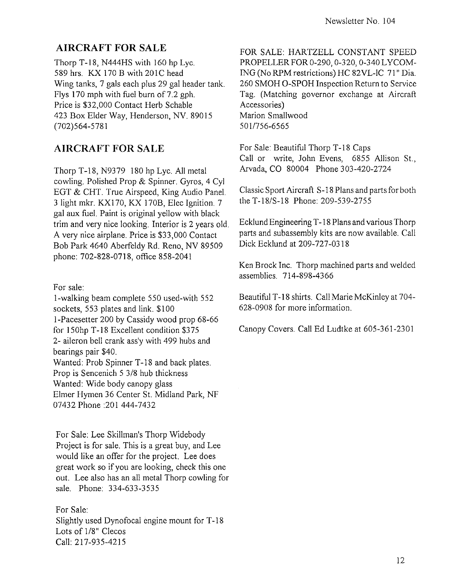# **AIRCRAFT FOR SALE**

Thorp T-18, N444HS with 160 hp Lyc. 589 hrs. KX 170 B with 20lC head Wing tanks, 7 gals each plus 29 gal header tank. Flys 170 mph with fuel burn of 7.2 gph. Price is \$32,000 Contact Herb Schable 423 Box Elder Way, Henderson, NV. 89015 (702)564-5781

# **AIRCRAFT FOR SALE**

Thorp T-18, N9379 180 hp Lyc. All metal cowling. Polished Prop & Spinner. Gyros, 4 Cyl EGT & CHT. True Airspeed, King Audio Panel. 3 light mkr. KX170, KX 170B, Elec Ignition. 7 gal aux fuel. Paint is original yellow with black trim and very nice looking. Interior is 2 years old. A very nice airplane. Price is \$33,000 Contact Bob Park 4640 Aberfeldy Rd. Reno, NV 89509 phone: 702-828-0718, office 858-2041

For sale:

I-walking beam complete 550 used-with 552 sockets, 553 plates and link. \$100 I-Pacesetter 200 by Cassidy wood prop 68-66 for 150hp T-18 Excellent condition \$375 2- aileron bell crank ass'y with 499 hubs and bearings pair \$40. Wanted: Prob Spinner T-I8 and back plates. Prop is Sencenich 5 3/8 hub thickness

Wanted: Wide body canopy glass Elmer Hymen 36 Center St. Midland Park, NF

07432 Phone :201 444-7432

For Sale: Lee Skillman's Thorp Widebody Project is for sale. This is a great buy, and Lee would like an offer for the project. Lee does great work so if you are looking, check this one out. Lee also has an all metal Thorp cowling for sale. Phone: 334-633-3535

For Sale: Slightly used Dynofocal engine mount for T -18 Lots of 1/8" Clecos Call: 217-935-4215

FOR SALE: HARTZELL CONSTANT SPEED PROPELLER FOR 0-290, 0-320, 0-340 LYCOMlNG (No RPM restrictions) HC 82VL-IC 71" Dia. 260 SMOH O-SPOH Inspection Return to Service Tag. (Matching governor exchange at Aircraft Accessories) Marion Smallwood 501/756-6565

For Sale: Beautiful Thorp T-18 Caps Call or write, John Evens, 6855 Allison St., Arvada, CO 80004 Phone 303-420-2724

Classic Sport Aircraft S-18 Plans and parts for both the T-18/S-18 Phone: 209-539-2755

Ecklund Engineering T -18 Plans and various Thorp parts and subassembly kits are now available. Call Dick Ecklund at 209-727-0318

Ken Brock Inc. Thorp machined parts and welded assemblies. 714-898-4366

Beautiful T -18 shirts. Call Marie McKinley at 704- 628-0908 for more information.

Canopy Covers. Call Ed Ludtke at 605-361-2301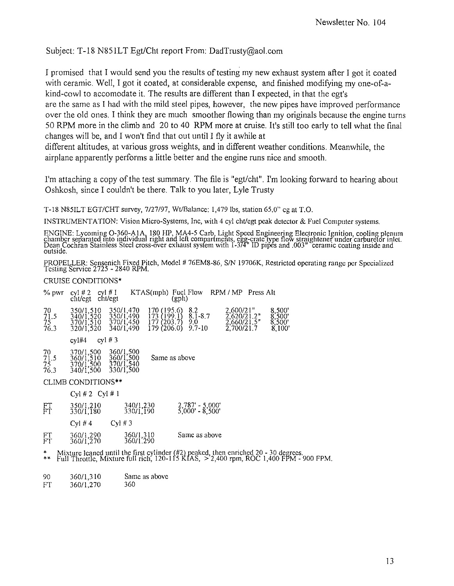Subject: T-18 N851LT Egt/Cht report From: DadTrusty@aol.com

I promised that I would send you the results of testing my new exhaust system after I got it coated with ceramic. Well, I got it coated, at considerable expense, and finished modifying my one-of-akind-cowl to accomodate it. The results are different than I expected, in that the egt's are the same as I had with the mild steel pipes, however, the new pipes have improved performance over the old ones. I think they are much smoother flowing than my originals because the engine turns 50 RPM more in the climb and 20 to 40 RPM more at cruise. It's still too early to tell what the final changes will be, and I won't find that out until I fly it awhile at

different altitudes, at various gross weights, and in different weather conditions. Meanwhile, the airplane apparently performs a little better and the engine runs nice and smooth.

I'm attaching a copy of the test summary. The file is *"egt/cht".* I'm looking forward to hearing about Oshkosh, since I couldn't be there. Talk to you later, Lyle Trusty

T-18 N85ILT *EGT/CHT* survey, *7127/97,* WUBalance: 1,479Ibs, station 65.0" cg at T.O.

INSTRUMENTATION: Vision Micro-Systems, Inc, with 4 cyl chUegt peak detector & Fuel Computer systems.

ENGINE: Lycoming O-360-A1A, 180 HP, MA4-5 Carb, Light Speed Engineering Electronic Ignition, cooling plenum<br>chamber separated mto individual right and left compartments, egg-crate type flow straightener under carburetor in Dean Cochran Stainless Steel cross-ever exhaust sysfem with 1-374" ID pipes and .003" ceramic coating inside and outSIde.

PROPELLER: Sensenich Fixed Pitch, Model # 76EM8-86, S/N 19706K, Restricted operating range per Specialized Testing Service 2725 - 2840 RPM.

CRUISE CONDITIONS'

| $\%$ pwr                     | $cyl \# I$<br>cyl # 2<br>cht/egt cht/egt         | KTAS(mph) Fuel Flow                                                                                                                 | (gph)                                                | RPM/MP Press Alt                                                 |                                                                                                                                                                                   |
|------------------------------|--------------------------------------------------|-------------------------------------------------------------------------------------------------------------------------------------|------------------------------------------------------|------------------------------------------------------------------|-----------------------------------------------------------------------------------------------------------------------------------------------------------------------------------|
| 70<br>71.5<br>$75-1$<br>76.3 | 350/1,510<br>340/1,520<br>370/1,510<br>320/1,520 | 350/1,470<br>170 (195.6)<br>350/1,490<br>370/1,450<br>$\begin{array}{c} 173 \\ 177 \\ 203.7 \end{array}$<br>179(206.0)<br>340/1,490 | 8.2<br>$8.1 - 8.7$<br>9.0<br>$9.7 - 10$              | 2,600/21"<br>$\frac{2,620}{2,660}{\frac{21.2}{2}}$<br>2,700/21.7 | 8,500<br>$\frac{8,500}{8,500}$<br>8,100'                                                                                                                                          |
|                              | cyl #3<br>cyI#4                                  |                                                                                                                                     |                                                      |                                                                  |                                                                                                                                                                                   |
| $^{70}_{71.5}$<br>75<br>76.3 | 370/1,500<br>360/1,510<br>370/1,500<br>340/1,500 | 360/1,500<br>360/1,500<br>Same as above<br>370/1,540<br>330/1,500                                                                   |                                                      |                                                                  |                                                                                                                                                                                   |
|                              | CLIMB CONDITIONS**                               |                                                                                                                                     |                                                      |                                                                  |                                                                                                                                                                                   |
|                              | $Cyl \# 2 \quad Cyl \# 1$                        |                                                                                                                                     |                                                      |                                                                  |                                                                                                                                                                                   |
| $_{\rm FT}^{\rm FT}$         | 350/1,210<br>330/1,180                           | 340/1,230<br>330/1,190                                                                                                              | $2,787' - 5,000'$<br>$\overline{5}'$ ,000' - 8',500' |                                                                  |                                                                                                                                                                                   |
|                              | Cyl #4                                           | $CVI \# 3$                                                                                                                          |                                                      |                                                                  |                                                                                                                                                                                   |
| FT<br>FT                     | 360/1,290<br>360/1,270                           | 360/1,310<br>360/1.290                                                                                                              | Same as above                                        |                                                                  |                                                                                                                                                                                   |
| *<br>**                      |                                                  |                                                                                                                                     |                                                      |                                                                  | Mixture leaned until the first cylinder $(\#2)$ peaked, then enriched 20 - 30 degrees.<br>Full Throttle, Mixture full rich, 120-115 KIAS, $> 2,400$ rpm, ROC 1,400 FPM - 900 FPM. |
|                              |                                                  |                                                                                                                                     |                                                      |                                                                  |                                                                                                                                                                                   |

- 90 *36011,310*  **Same as above**
- FT *36011 ,270*  360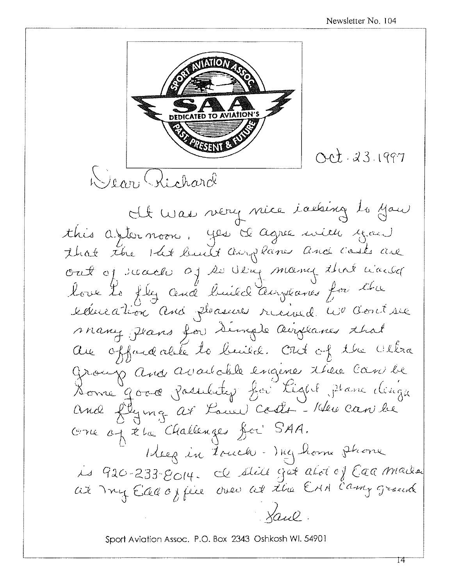

Sport Aviation Assoc. P.O. Box 2343 Oshkosh Wl. 54901

14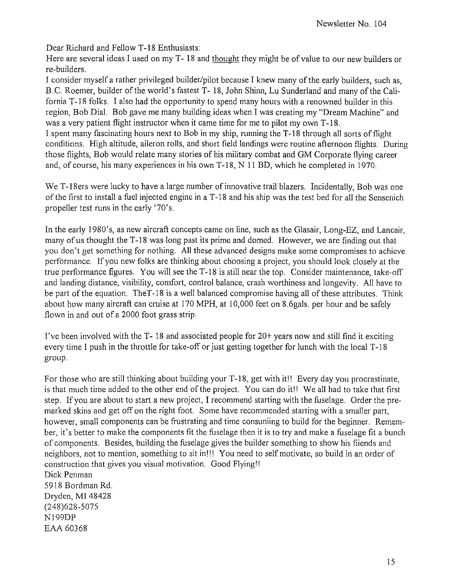Dear Richard and Fellow T-18 Enthusiasts:

Here are several ideas I used on my T- 18 and thought they might be of value to our new builders or re-builders.

I consider myself a rather privileged builder/pilot because I knew many of the early builders, such as, B.C. Roemer, builder of the world's fastest T- 18, John Shinn, Lu Sunderland and many of the California T -18 folks. I also had the opportunity to spend many hours with a renowned builder in this region, Bob Dial. Bob gave me many building ideas when I was creating my "Dream Machine" and was a very patient flight instructor when it came time for me to pilot my own T -18.

I spent many fascinating hours next to Bob in my ship, running the T-18 through all sorts of flight conditions. High altitude, aileron rolls, and short field landings were routine afternoon flights. During those flights, Bob would relate many stories of his military combat and GM Corporate flying career and, of course, his many experiences in his own T-18, N 11 BD, which he completed in 1970.

We T-18ers were lucky to have a large number of innovative trail blazers. Incidentally, Bob was one of the first to install a fuel injected engine in a T -18 and his ship was the test bed for all the Sensenich propeller test runs in the early '70's.

In the early 1980's, as new aircraft concepts came on line, such as the Glasair, Long-EZ, and Lancair, many of us thought the T -18 was long past its prime and domed. However, we are finding out that you don't get something for nothing. All these advanced designs make some compromises to achieve performance. If you new folks are thinking about choosing a project, you should look closely at the true performance figures. You will see the T-18 is still near the top. Consider maintenance, take-off and landing distance, visibility, comfort, control balance, crash worthiness and longevity. All have to be part of the equation. TheT-18 is a well balanced compromise having all of these attributes. Think about how many aircraft can cruise at 170 MPH, at 10,000 feet on 8.6gals. per hour and be safely flown in and out of a 2000 foot grass strip.

I've been involved with the  $T - 18$  and associated people for  $20+$  years now and still find it exciting every time I push in the throttle for take-off or just getting together for lunch with the local T-18 group.

For those who are still thinking about building your T-18, get with it!! Every day you procrastinate, is that much time added to the other end of the project. You can do it!! We all had to take that first step. If you are about to start a new project, I recommend starting with the fuselage. Order the premarked skins and get off on the right foot. Some have recommended starting with a smaller part, however, small components can be frustrating and time consuniing to build for the beginner. Remember, it's better to make the components fit the fuselage then it is to try and make a fuselage fit a bunch of components. Besides, building the fuselage gives the builder something to show his fiiends and neighbors, not to mention, something to sit in!!! You need to self motivate, so build in an order of construction that gives you visual motivation. Good Flyingll Dick Penman 5918 Bordman Rd. Dryden, **MI** 48428 (248)628-5075 NI99DP

EAA 60368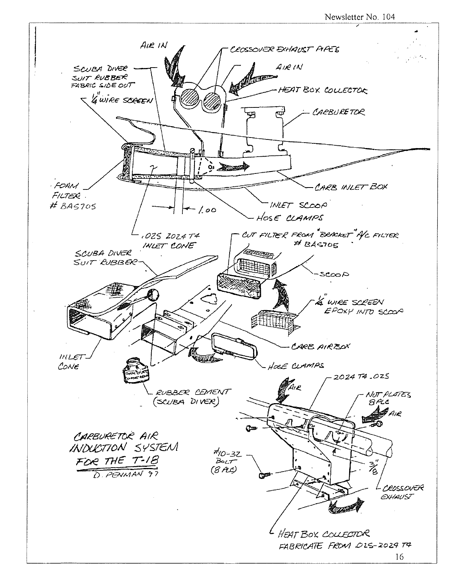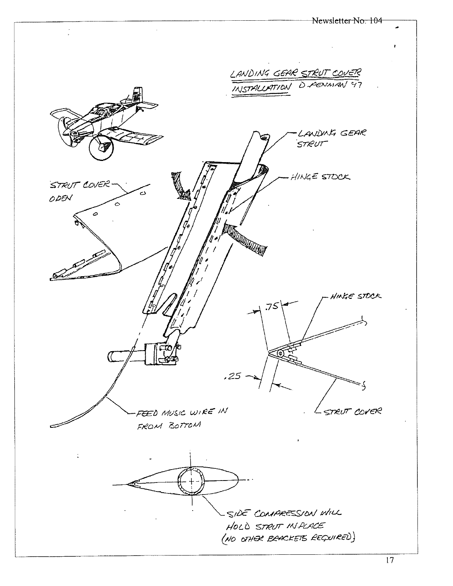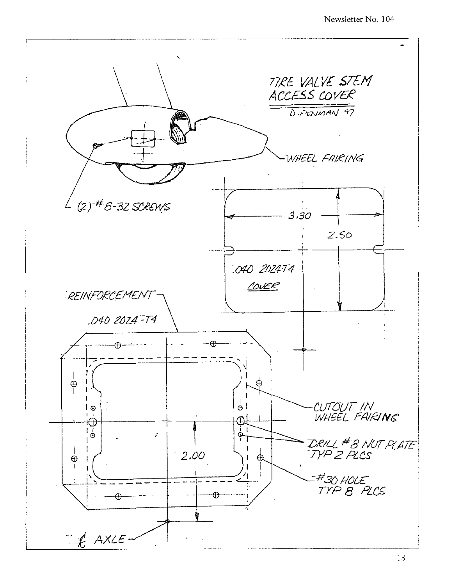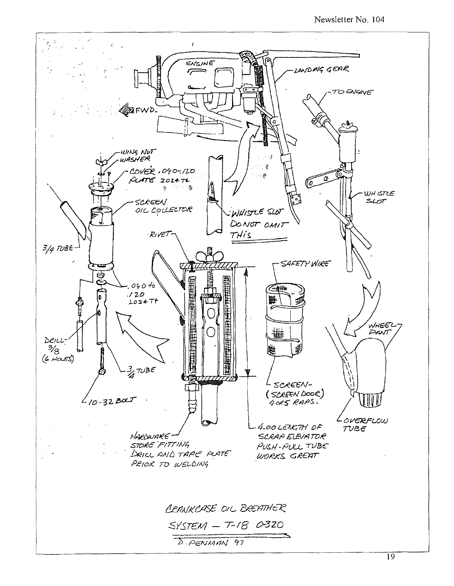Newsletter No. 104